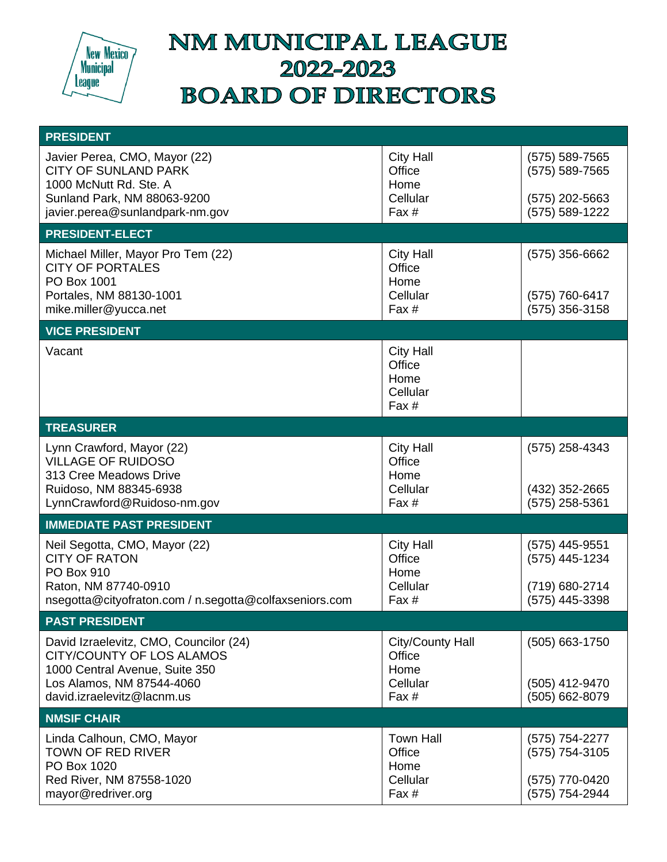

## NM MUNICIPAL LEAGUE 2022-2023 **BOARD OF DIRECTORS**

| <b>PRESIDENT</b>                                                                                                                                                        |                                                           |                                                                      |
|-------------------------------------------------------------------------------------------------------------------------------------------------------------------------|-----------------------------------------------------------|----------------------------------------------------------------------|
| Javier Perea, CMO, Mayor (22)<br><b>CITY OF SUNLAND PARK</b><br>1000 McNutt Rd. Ste. A<br>Sunland Park, NM 88063-9200<br>javier.perea@sunlandpark-nm.gov                | <b>City Hall</b><br>Office<br>Home<br>Cellular<br>Fax $#$ | (575) 589-7565<br>(575) 589-7565<br>(575) 202-5663<br>(575) 589-1222 |
| <b>PRESIDENT-ELECT</b>                                                                                                                                                  |                                                           |                                                                      |
| Michael Miller, Mayor Pro Tem (22)<br><b>CITY OF PORTALES</b><br>PO Box 1001<br>Portales, NM 88130-1001<br>mike.miller@yucca.net                                        | <b>City Hall</b><br>Office<br>Home<br>Cellular<br>Fax #   | $(575)$ 356-6662<br>(575) 760-6417<br>(575) 356-3158                 |
| <b>VICE PRESIDENT</b>                                                                                                                                                   |                                                           |                                                                      |
| Vacant                                                                                                                                                                  | <b>City Hall</b><br>Office<br>Home<br>Cellular<br>Fax #   |                                                                      |
| <b>TREASURER</b>                                                                                                                                                        |                                                           |                                                                      |
| Lynn Crawford, Mayor (22)<br><b>VILLAGE OF RUIDOSO</b><br>313 Cree Meadows Drive<br>Ruidoso, NM 88345-6938<br>LynnCrawford@Ruidoso-nm.gov                               | <b>City Hall</b><br>Office<br>Home<br>Cellular<br>Fax $#$ | (575) 258-4343<br>(432) 352-2665<br>(575) 258-5361                   |
| <b>IMMEDIATE PAST PRESIDENT</b>                                                                                                                                         |                                                           |                                                                      |
| Neil Segotta, CMO, Mayor (22)<br><b>CITY OF RATON</b><br>PO Box 910<br>Raton, NM 87740-0910<br>nsegotta@cityofraton.com / n.segotta@colfaxseniors.com                   | <b>City Hall</b><br>Office<br>Home<br>Cellular<br>Fax #   | (575) 445-9551<br>(575) 445-1234<br>(719) 680-2714<br>(575) 445-3398 |
| <b>PAST PRESIDENT</b>                                                                                                                                                   |                                                           |                                                                      |
| David Izraelevitz, CMO, Councilor (24)<br><b>CITY/COUNTY OF LOS ALAMOS</b><br>1000 Central Avenue, Suite 350<br>Los Alamos, NM 87544-4060<br>david.izraelevitz@lacnm.us | City/County Hall<br>Office<br>Home<br>Cellular<br>Fax #   | (505) 663-1750<br>(505) 412-9470<br>(505) 662-8079                   |
| <b>NMSIF CHAIR</b>                                                                                                                                                      |                                                           |                                                                      |
| Linda Calhoun, CMO, Mayor<br><b>TOWN OF RED RIVER</b><br>PO Box 1020<br>Red River, NM 87558-1020<br>mayor@redriver.org                                                  | <b>Town Hall</b><br>Office<br>Home<br>Cellular<br>Fax #   | (575) 754-2277<br>(575) 754-3105<br>(575) 770-0420<br>(575) 754-2944 |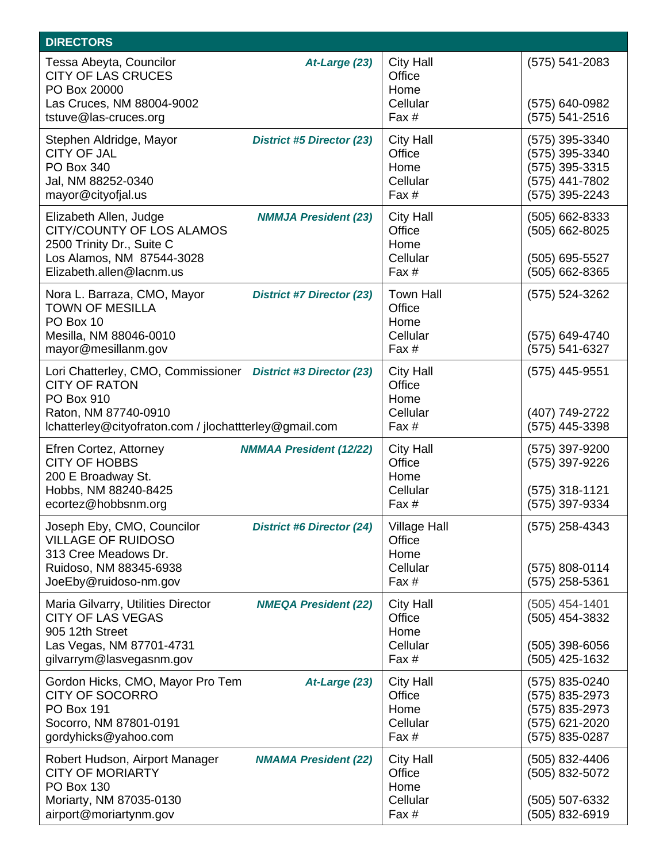| <b>DIRECTORS</b>                                                                                                                                                                     |                                                            |                                                                                        |
|--------------------------------------------------------------------------------------------------------------------------------------------------------------------------------------|------------------------------------------------------------|----------------------------------------------------------------------------------------|
| Tessa Abeyta, Councilor<br>At-Large (23)<br><b>CITY OF LAS CRUCES</b><br>PO Box 20000<br>Las Cruces, NM 88004-9002<br>tstuve@las-cruces.org                                          | <b>City Hall</b><br>Office<br>Home<br>Cellular<br>Fax #    | $(575) 541 - 2083$<br>(575) 640-0982<br>(575) 541-2516                                 |
| Stephen Aldridge, Mayor<br>District #5 Director (23)<br><b>CITY OF JAL</b><br>PO Box 340<br>Jal, NM 88252-0340<br>mayor@cityofjal.us                                                 | <b>City Hall</b><br>Office<br>Home<br>Cellular<br>Fax #    | (575) 395-3340<br>(575) 395-3340<br>(575) 395-3315<br>(575) 441-7802<br>(575) 395-2243 |
| Elizabeth Allen, Judge<br><b>NMMJA President (23)</b><br>CITY/COUNTY OF LOS ALAMOS<br>2500 Trinity Dr., Suite C<br>Los Alamos, NM 87544-3028<br>Elizabeth.allen@lacnm.us             | <b>City Hall</b><br>Office<br>Home<br>Cellular<br>Fax #    | (505) 662-8333<br>(505) 662-8025<br>(505) 695-5527<br>(505) 662-8365                   |
| Nora L. Barraza, CMO, Mayor<br><b>District #7 Director (23)</b><br><b>TOWN OF MESILLA</b><br>PO Box 10<br>Mesilla, NM 88046-0010<br>mayor@mesillanm.gov                              | <b>Town Hall</b><br>Office<br>Home<br>Cellular<br>Fax #    | (575) 524-3262<br>(575) 649-4740<br>(575) 541-6327                                     |
| Lori Chatterley, CMO, Commissioner District #3 Director (23)<br><b>CITY OF RATON</b><br>PO Box 910<br>Raton, NM 87740-0910<br>Ichatterley@cityofraton.com / jlochattterley@gmail.com | <b>City Hall</b><br>Office<br>Home<br>Cellular<br>Fax #    | (575) 445-9551<br>(407) 749-2722<br>(575) 445-3398                                     |
| Efren Cortez, Attorney<br><b>NMMAA President (12/22)</b><br><b>CITY OF HOBBS</b><br>200 E Broadway St.<br>Hobbs, NM 88240-8425<br>ecortez@hobbsnm.org                                | <b>City Hall</b><br>Office<br>Home<br>Cellular<br>Fax #    | (575) 397-9200<br>(575) 397-9226<br>$(575)$ 318-1121<br>(575) 397-9334                 |
| Joseph Eby, CMO, Councilor<br><b>District #6 Director (24)</b><br><b>VILLAGE OF RUIDOSO</b><br>313 Cree Meadows Dr.<br>Ruidoso, NM 88345-6938<br>JoeEby@ruidoso-nm.gov               | <b>Village Hall</b><br>Office<br>Home<br>Cellular<br>Fax # | (575) 258-4343<br>(575) 808-0114<br>(575) 258-5361                                     |
| Maria Gilvarry, Utilities Director<br><b>NMEQA President (22)</b><br><b>CITY OF LAS VEGAS</b><br>905 12th Street<br>Las Vegas, NM 87701-4731<br>gilvarrym@lasvegasnm.gov             | <b>City Hall</b><br>Office<br>Home<br>Cellular<br>Fax #    | $(505)$ 454-1401<br>(505) 454-3832<br>$(505)$ 398-6056<br>(505) 425-1632               |
| Gordon Hicks, CMO, Mayor Pro Tem<br>At-Large (23)<br><b>CITY OF SOCORRO</b><br><b>PO Box 191</b><br>Socorro, NM 87801-0191<br>gordyhicks@yahoo.com                                   | <b>City Hall</b><br>Office<br>Home<br>Cellular<br>Fax #    | (575) 835-0240<br>(575) 835-2973<br>(575) 835-2973<br>(575) 621-2020<br>(575) 835-0287 |
| Robert Hudson, Airport Manager<br><b>NMAMA President (22)</b><br><b>CITY OF MORIARTY</b><br><b>PO Box 130</b><br>Moriarty, NM 87035-0130<br>airport@moriartynm.gov                   | <b>City Hall</b><br>Office<br>Home<br>Cellular<br>Fax #    | (505) 832-4406<br>(505) 832-5072<br>(505) 507-6332<br>(505) 832-6919                   |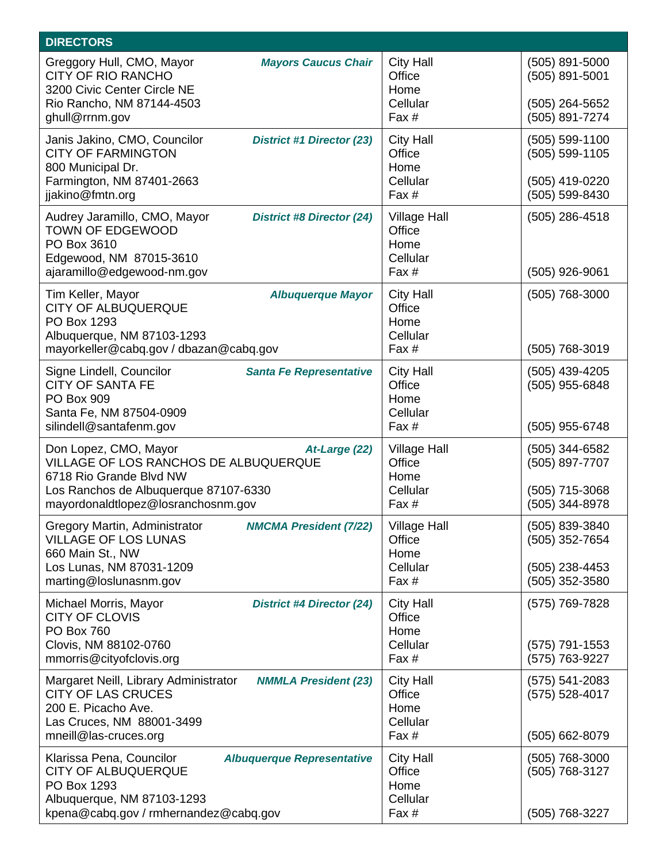| <b>DIRECTORS</b>                                                                                                                                                                                 |                                                            |                                                                          |
|--------------------------------------------------------------------------------------------------------------------------------------------------------------------------------------------------|------------------------------------------------------------|--------------------------------------------------------------------------|
| Greggory Hull, CMO, Mayor<br><b>Mayors Caucus Chair</b><br><b>CITY OF RIO RANCHO</b><br>3200 Civic Center Circle NE<br>Rio Rancho, NM 87144-4503<br>ghull@rrnm.gov                               | <b>City Hall</b><br>Office<br>Home<br>Cellular<br>Fax #    | (505) 891-5000<br>(505) 891-5001<br>(505) 264-5652<br>(505) 891-7274     |
| Janis Jakino, CMO, Councilor<br><b>District #1 Director (23)</b><br><b>CITY OF FARMINGTON</b><br>800 Municipal Dr.<br>Farmington, NM 87401-2663<br>jjakino@fmtn.org                              | <b>City Hall</b><br>Office<br>Home<br>Cellular<br>Fax #    | (505) 599-1100<br>$(505) 599 - 1105$<br>(505) 419-0220<br>(505) 599-8430 |
| Audrey Jaramillo, CMO, Mayor<br><b>District #8 Director (24)</b><br><b>TOWN OF EDGEWOOD</b><br>PO Box 3610<br>Edgewood, NM 87015-3610<br>ajaramillo@edgewood-nm.gov                              | <b>Village Hall</b><br>Office<br>Home<br>Cellular<br>Fax # | $(505)$ 286-4518<br>(505) 926-9061                                       |
| Tim Keller, Mayor<br><b>Albuquerque Mayor</b><br><b>CITY OF ALBUQUERQUE</b><br>PO Box 1293<br>Albuquerque, NM 87103-1293<br>mayorkeller@cabq.gov / dbazan@cabq.gov                               | <b>City Hall</b><br>Office<br>Home<br>Cellular<br>Fax #    | (505) 768-3000<br>(505) 768-3019                                         |
| Signe Lindell, Councilor<br><b>Santa Fe Representative</b><br><b>CITY OF SANTA FE</b><br>PO Box 909<br>Santa Fe, NM 87504-0909<br>silindell@santafenm.gov                                        | <b>City Hall</b><br>Office<br>Home<br>Cellular<br>Fax #    | $(505)$ 439-4205<br>(505) 955-6848<br>(505) 955-6748                     |
| Don Lopez, CMO, Mayor<br>At-Large (22)<br><b>VILLAGE OF LOS RANCHOS DE ALBUQUERQUE</b><br>6718 Rio Grande Blvd NW<br>Los Ranchos de Albuquerque 87107-6330<br>mayordonaldtlopez@losranchosnm.gov | <b>Village Hall</b><br>Office<br>Home<br>Cellular<br>Fax # | (505) 344-6582<br>(505) 897-7707<br>(505) 715-3068<br>(505) 344-8978     |
| Gregory Martin, Administrator<br><b>NMCMA President (7/22)</b><br><b>VILLAGE OF LOS LUNAS</b><br>660 Main St., NW<br>Los Lunas, NM 87031-1209<br>marting@loslunasnm.gov                          | <b>Village Hall</b><br>Office<br>Home<br>Cellular<br>Fax # | (505) 839-3840<br>(505) 352-7654<br>(505) 238-4453<br>(505) 352-3580     |
| Michael Morris, Mayor<br><b>District #4 Director (24)</b><br><b>CITY OF CLOVIS</b><br><b>PO Box 760</b><br>Clovis, NM 88102-0760<br>mmorris@cityofclovis.org                                     | <b>City Hall</b><br>Office<br>Home<br>Cellular<br>Fax #    | (575) 769-7828<br>(575) 791-1553<br>(575) 763-9227                       |
| Margaret Neill, Library Administrator<br><b>NMMLA President (23)</b><br><b>CITY OF LAS CRUCES</b><br>200 E. Picacho Ave.<br>Las Cruces, NM 88001-3499<br>mneill@las-cruces.org                   | <b>City Hall</b><br>Office<br>Home<br>Cellular<br>Fax #    | $(575) 541 - 2083$<br>$(575) 528 - 4017$<br>(505) 662-8079               |
| Klarissa Pena, Councilor<br><b>Albuquerque Representative</b><br><b>CITY OF ALBUQUERQUE</b><br>PO Box 1293<br>Albuquerque, NM 87103-1293<br>kpena@cabq.gov / rmhernandez@cabq.gov                | <b>City Hall</b><br>Office<br>Home<br>Cellular<br>Fax #    | (505) 768-3000<br>(505) 768-3127<br>(505) 768-3227                       |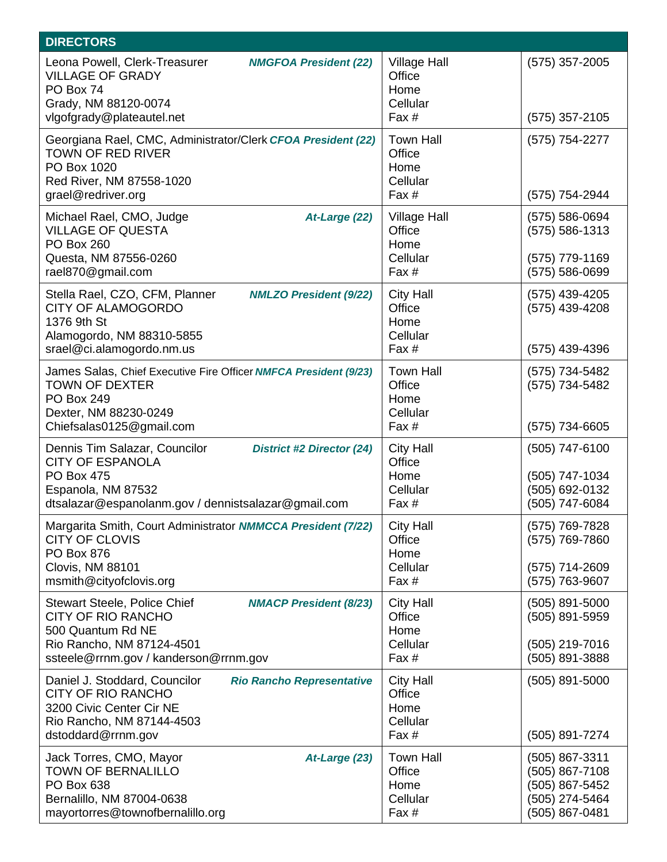| <b>DIRECTORS</b>                                                                                                                                                                               |                                                            |                                                                                        |
|------------------------------------------------------------------------------------------------------------------------------------------------------------------------------------------------|------------------------------------------------------------|----------------------------------------------------------------------------------------|
| Leona Powell, Clerk-Treasurer<br><b>NMGFOA President (22)</b><br><b>VILLAGE OF GRADY</b><br>PO Box 74<br>Grady, NM 88120-0074<br>vlgofgrady@plateautel.net                                     | <b>Village Hall</b><br>Office<br>Home<br>Cellular<br>Fax # | $(575)$ 357-2005<br>$(575)$ 357-2105                                                   |
| Georgiana Rael, CMC, Administrator/Clerk CFOA President (22)<br><b>TOWN OF RED RIVER</b><br>PO Box 1020<br>Red River, NM 87558-1020<br>grael@redriver.org                                      | <b>Town Hall</b><br>Office<br>Home<br>Cellular<br>Fax #    | (575) 754-2277<br>(575) 754-2944                                                       |
| Michael Rael, CMO, Judge<br>At-Large (22)<br><b>VILLAGE OF QUESTA</b><br><b>PO Box 260</b><br>Questa, NM 87556-0260<br>rael870@gmail.com                                                       | <b>Village Hall</b><br>Office<br>Home<br>Cellular<br>Fax # | (575) 586-0694<br>$(575) 586 - 1313$<br>(575) 779-1169<br>(575) 586-0699               |
| Stella Rael, CZO, CFM, Planner<br><b>NMLZO President (9/22)</b><br><b>CITY OF ALAMOGORDO</b><br>1376 9th St<br>Alamogordo, NM 88310-5855<br>srael@ci.alamogordo.nm.us                          | <b>City Hall</b><br>Office<br>Home<br>Cellular<br>Fax #    | (575) 439-4205<br>(575) 439-4208<br>(575) 439-4396                                     |
| James Salas, Chief Executive Fire Officer NMFCA President (9/23)<br><b>TOWN OF DEXTER</b><br><b>PO Box 249</b><br>Dexter, NM 88230-0249<br>Chiefsalas0125@gmail.com                            | <b>Town Hall</b><br>Office<br>Home<br>Cellular<br>Fax #    | (575) 734-5482<br>(575) 734-5482<br>(575) 734-6605                                     |
| Dennis Tim Salazar, Councilor<br><b>District #2 Director (24)</b><br><b>CITY OF ESPANOLA</b><br><b>PO Box 475</b><br>Espanola, NM 87532<br>dtsalazar@espanolanm.gov / dennistsalazar@gmail.com | <b>City Hall</b><br>Office<br>Home<br>Cellular<br>Fax #    | $(505)$ 747-6100<br>(505) 747-1034<br>(505) 692-0132<br>(505) 747-6084                 |
| Margarita Smith, Court Administrator NMMCCA President (7/22)<br><b>CITY OF CLOVIS</b><br><b>PO Box 876</b><br>Clovis, NM 88101<br>msmith@cityofclovis.org                                      | <b>City Hall</b><br>Office<br>Home<br>Cellular<br>Fax #    | (575) 769-7828<br>(575) 769-7860<br>(575) 714-2609<br>(575) 763-9607                   |
| <b>Stewart Steele, Police Chief</b><br><b>NMACP President (8/23)</b><br><b>CITY OF RIO RANCHO</b><br>500 Quantum Rd NE<br>Rio Rancho, NM 87124-4501<br>ssteele@rrnm.gov / kanderson@rrnm.gov   | <b>City Hall</b><br>Office<br>Home<br>Cellular<br>Fax #    | (505) 891-5000<br>(505) 891-5959<br>(505) 219-7016<br>(505) 891-3888                   |
| Daniel J. Stoddard, Councilor<br><b>Rio Rancho Representative</b><br><b>CITY OF RIO RANCHO</b><br>3200 Civic Center Cir NE<br>Rio Rancho, NM 87144-4503<br>dstoddard@rrnm.gov                  | <b>City Hall</b><br>Office<br>Home<br>Cellular<br>Fax #    | $(505)$ 891-5000<br>(505) 891-7274                                                     |
| Jack Torres, CMO, Mayor<br>At-Large (23)<br><b>TOWN OF BERNALILLO</b><br>PO Box 638<br>Bernalillo, NM 87004-0638<br>mayortorres@townofbernalillo.org                                           | <b>Town Hall</b><br>Office<br>Home<br>Cellular<br>Fax #    | (505) 867-3311<br>(505) 867-7108<br>(505) 867-5452<br>(505) 274-5464<br>(505) 867-0481 |